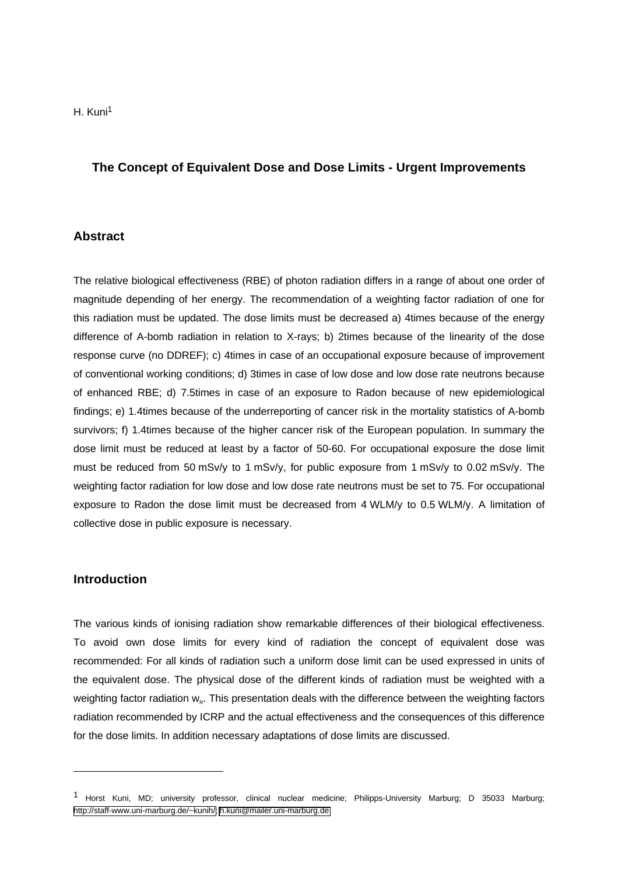# **The Concept of Equivalent Dose and Dose Limits - Urgent Improvements**

#### **Abstract**

The relative biological effectiveness (RBE) of photon radiation differs in a range of about one order of magnitude depending of her energy. The recommendation of a weighting factor radiation of one for this radiation must be updated. The dose limits must be decreased a) 4times because of the energy difference of A-bomb radiation in relation to X-rays; b) 2times because of the linearity of the dose response curve (no DDREF); c) 4times in case of an occupational exposure because of improvement of conventional working conditions; d) 3times in case of low dose and low dose rate neutrons because of enhanced RBE; d) 7.5times in case of an exposure to Radon because of new epidemiological findings; e) 1.4times because of the underreporting of cancer risk in the mortality statistics of A-bomb survivors; f) 1.4times because of the higher cancer risk of the European population. In summary the dose limit must be reduced at least by a factor of 50-60. For occupational exposure the dose limit must be reduced from 50 mSv/y to 1 mSv/y, for public exposure from 1 mSv/y to 0.02 mSv/y. The weighting factor radiation for low dose and low dose rate neutrons must be set to 75. For occupational exposure to Radon the dose limit must be decreased from 4 WLM/y to 0.5 WLM/y. A limitation of collective dose in public exposure is necessary.

#### **Introduction**

-

The various kinds of ionising radiation show remarkable differences of their biological effectiveness. To avoid own dose limits for every kind of radiation the concept of equivalent dose was recommended: For all kinds of radiation such a uniform dose limit can be used expressed in units of the equivalent dose. The physical dose of the different kinds of radiation must be weighted with a weighting factor radiation w<sub>R</sub>. This presentation deals with the difference between the weighting factors radiation recommended by ICRP and the actual effectiveness and the consequences of this difference for the dose limits. In addition necessary adaptations of dose limits are discussed.

<sup>1</sup> Horst Kuni, MD; university professor, clinical nuclear medicine; Philipps-University Marburg; D 35033 Marburg; [http://staff-www.uni-marburg.de/~kunih/;](http://staff-www.uni-marburg.de/~kunih/) [h.kuni@mailer.uni-marburg.de](mailto:h.kuni@mailer.uni-marburg.de)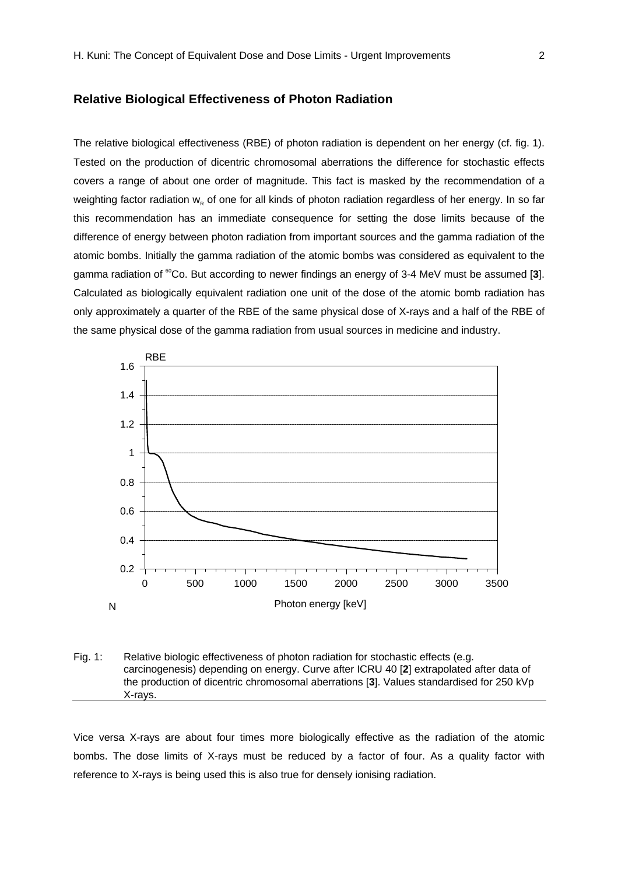#### **Relative Biological Effectiveness of Photon Radiation**

The relative biological effectiveness (RBE) of photon radiation is dependent on her energy (cf. fig. 1). Tested on the production of dicentric chromosomal aberrations the difference for stochastic effects covers a range of about one order of magnitude. This fact is masked by the recommendation of a weighting factor radiation  $w_{\kappa}$  of one for all kinds of photon radiation regardless of her energy. In so far this recommendation has an immediate consequence for setting the dose limits because of the difference of energy between photon radiation from important sources and the gamma radiation of the atomic bombs. Initially the gamma radiation of the atomic bombs was considered as equivalent to the gamma radiation of <sup>60</sup>Co. But according to newer findings an energy of 3-4 MeV must be assumed [3]. Calculated as biologically equivalent radiation one unit of the dose of the atomic bomb radiation has only approximately a quarter of the RBE of the same physical dose of X-rays and a half of the RBE of the same physical dose of the gamma radiation from usual sources in medicine and industry.



Fig. 1: Relative biologic effectiveness of photon radiation for stochastic effects (e.g. carcinogenesis) depending on energy. Curve after ICRU 40 [**2**] extrapolated after data of the production of dicentric chromosomal aberrations [**3**]. Values standardised for 250 kVp X-rays.

Vice versa X-rays are about four times more biologically effective as the radiation of the atomic bombs. The dose limits of X-rays must be reduced by a factor of four. As a quality factor with reference to X-rays is being used this is also true for densely ionising radiation.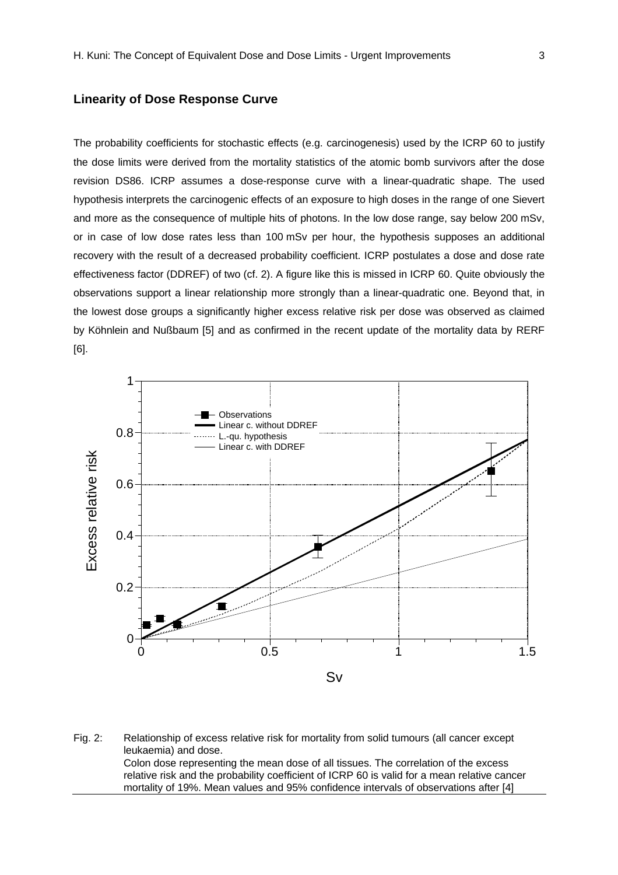## **Linearity of Dose Response Curve**

The probability coefficients for stochastic effects (e.g. carcinogenesis) used by the ICRP 60 to justify the dose limits were derived from the mortality statistics of the atomic bomb survivors after the dose revision DS86. ICRP assumes a dose-response curve with a linear-quadratic shape. The used hypothesis interprets the carcinogenic effects of an exposure to high doses in the range of one Sievert and more as the consequence of multiple hits of photons. In the low dose range, say below 200 mSv, or in case of low dose rates less than 100 mSv per hour, the hypothesis supposes an additional recovery with the result of a decreased probability coefficient. ICRP postulates a dose and dose rate effectiveness factor (DDREF) of two (cf. 2). A figure like this is missed in ICRP 60. Quite obviously the observations support a linear relationship more strongly than a linear-quadratic one. Beyond that, in the lowest dose groups a significantly higher excess relative risk per dose was observed as claimed by Köhnlein and Nußbaum [5] and as confirmed in the recent update of the mortality data by RERF [6].



Fig. 2: Relationship of excess relative risk for mortality from solid tumours (all cancer except leukaemia) and dose. Colon dose representing the mean dose of all tissues. The correlation of the excess relative risk and the probability coefficient of ICRP 60 is valid for a mean relative cancer mortality of 19%. Mean values and 95% confidence intervals of observations after [4]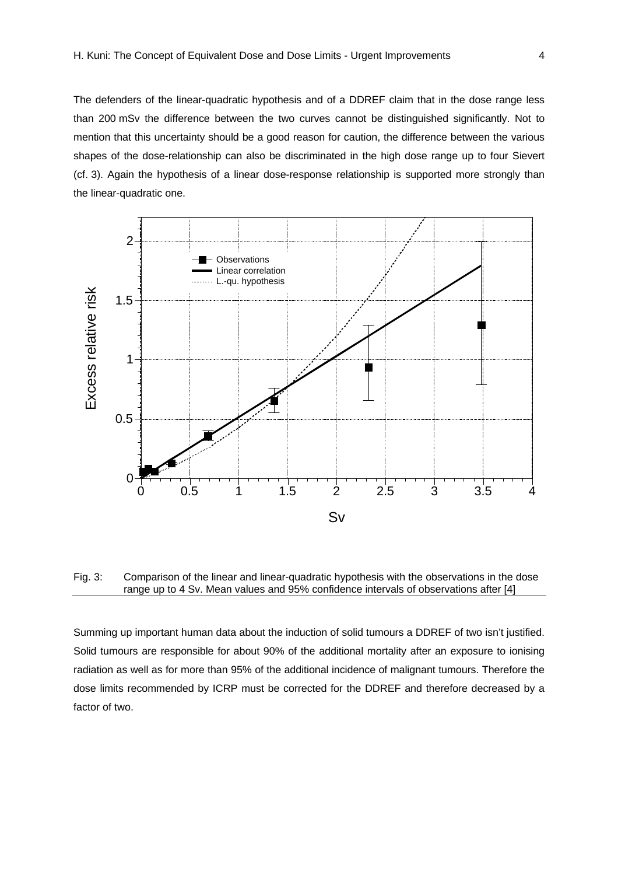The defenders of the linear-quadratic hypothesis and of a DDREF claim that in the dose range less than 200 mSv the difference between the two curves cannot be distinguished significantly. Not to mention that this uncertainty should be a good reason for caution, the difference between the various shapes of the dose-relationship can also be discriminated in the high dose range up to four Sievert (cf. 3). Again the hypothesis of a linear dose-response relationship is supported more strongly than the linear-quadratic one.



Fig. 3: Comparison of the linear and linear-quadratic hypothesis with the observations in the dose range up to 4 Sv. Mean values and 95% confidence intervals of observations after [4]

Summing up important human data about the induction of solid tumours a DDREF of two isn't justified. Solid tumours are responsible for about 90% of the additional mortality after an exposure to ionising radiation as well as for more than 95% of the additional incidence of malignant tumours. Therefore the dose limits recommended by ICRP must be corrected for the DDREF and therefore decreased by a factor of two.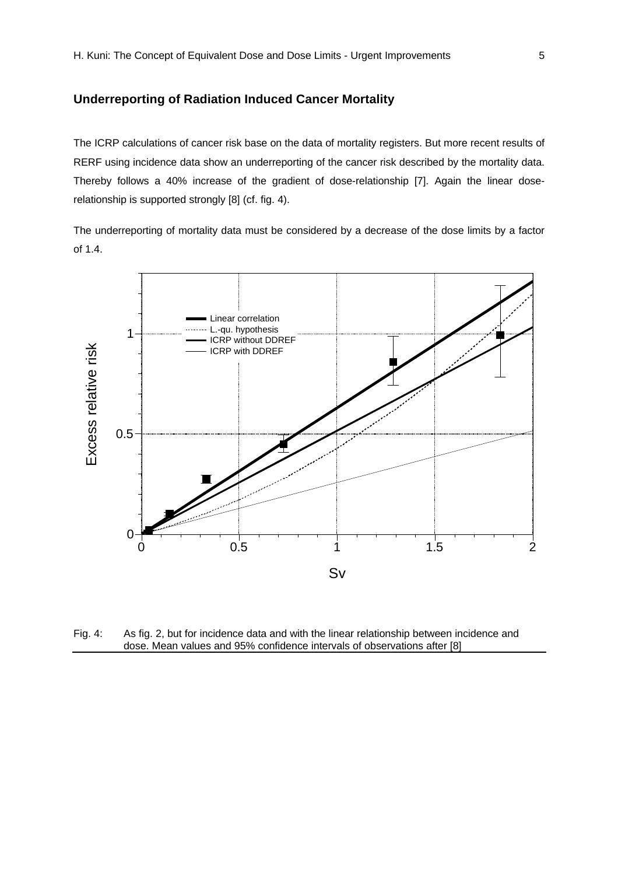# **Underreporting of Radiation Induced Cancer Mortality**

The ICRP calculations of cancer risk base on the data of mortality registers. But more recent results of RERF using incidence data show an underreporting of the cancer risk described by the mortality data. Thereby follows a 40% increase of the gradient of dose-relationship [7]. Again the linear doserelationship is supported strongly [8] (cf. fig. 4).

The underreporting of mortality data must be considered by a decrease of the dose limits by a factor of 1.4.



Fig. 4: As fig. 2, but for incidence data and with the linear relationship between incidence and dose. Mean values and 95% confidence intervals of observations after [8]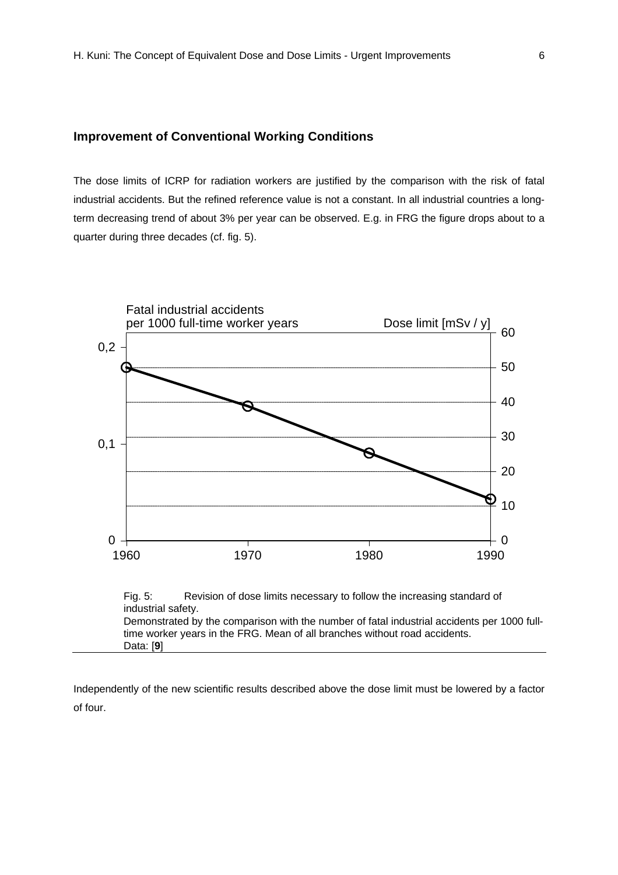# **Improvement of Conventional Working Conditions**

The dose limits of ICRP for radiation workers are justified by the comparison with the risk of fatal industrial accidents. But the refined reference value is not a constant. In all industrial countries a longterm decreasing trend of about 3% per year can be observed. E.g. in FRG the figure drops about to a quarter during three decades (cf. fig. 5).



Fig. 5: Revision of dose limits necessary to follow the increasing standard of industrial safety. Demonstrated by the comparison with the number of fatal industrial accidents per 1000 fulltime worker years in the FRG. Mean of all branches without road accidents. Data: [**9**]

Independently of the new scientific results described above the dose limit must be lowered by a factor of four.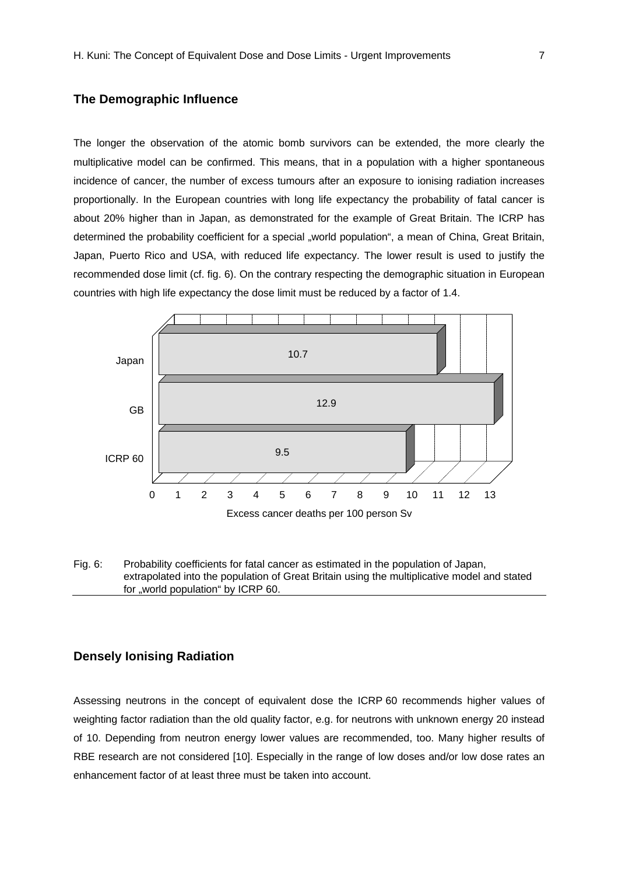## **The Demographic Influence**

The longer the observation of the atomic bomb survivors can be extended, the more clearly the multiplicative model can be confirmed. This means, that in a population with a higher spontaneous incidence of cancer, the number of excess tumours after an exposure to ionising radiation increases proportionally. In the European countries with long life expectancy the probability of fatal cancer is about 20% higher than in Japan, as demonstrated for the example of Great Britain. The ICRP has determined the probability coefficient for a special "world population", a mean of China, Great Britain, Japan, Puerto Rico and USA, with reduced life expectancy. The lower result is used to justify the recommended dose limit (cf. fig. 6). On the contrary respecting the demographic situation in European countries with high life expectancy the dose limit must be reduced by a factor of 1.4.



Fig. 6: Probability coefficients for fatal cancer as estimated in the population of Japan, extrapolated into the population of Great Britain using the multiplicative model and stated for "world population" by ICRP 60.

## **Densely Ionising Radiation**

Assessing neutrons in the concept of equivalent dose the ICRP 60 recommends higher values of weighting factor radiation than the old quality factor, e.g. for neutrons with unknown energy 20 instead of 10. Depending from neutron energy lower values are recommended, too. Many higher results of RBE research are not considered [10]. Especially in the range of low doses and/or low dose rates an enhancement factor of at least three must be taken into account.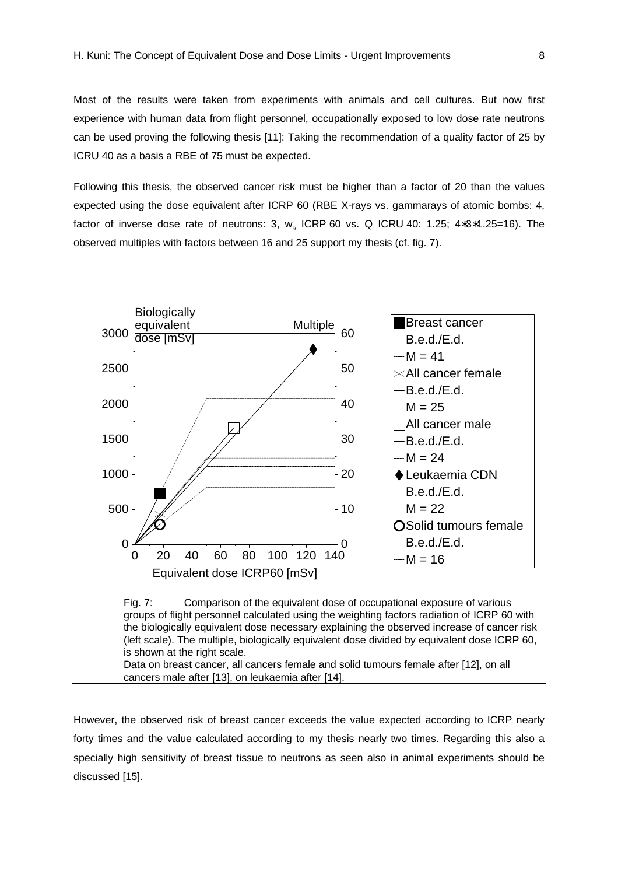Most of the results were taken from experiments with animals and cell cultures. But now first experience with human data from flight personnel, occupationally exposed to low dose rate neutrons can be used proving the following thesis [11]: Taking the recommendation of a quality factor of 25 by ICRU 40 as a basis a RBE of 75 must be expected.

Following this thesis, the observed cancer risk must be higher than a factor of 20 than the values expected using the dose equivalent after ICRP 60 (RBE X-rays vs. gammarays of atomic bombs: 4, factor of inverse dose rate of neutrons: 3,  $w_{R}$  ICRP 60 vs. Q ICRU 40: 1.25; 4\*3\*1.25=16). The observed multiples with factors between 16 and 25 support my thesis (cf. fig. 7).



Fig. 7: Comparison of the equivalent dose of occupational exposure of various groups of flight personnel calculated using the weighting factors radiation of ICRP 60 with the biologically equivalent dose necessary explaining the observed increase of cancer risk (left scale). The multiple, biologically equivalent dose divided by equivalent dose ICRP 60, is shown at the right scale.

Data on breast cancer, all cancers female and solid tumours female after [12], on all cancers male after [13], on leukaemia after [14].

However, the observed risk of breast cancer exceeds the value expected according to ICRP nearly forty times and the value calculated according to my thesis nearly two times. Regarding this also a specially high sensitivity of breast tissue to neutrons as seen also in animal experiments should be discussed [15].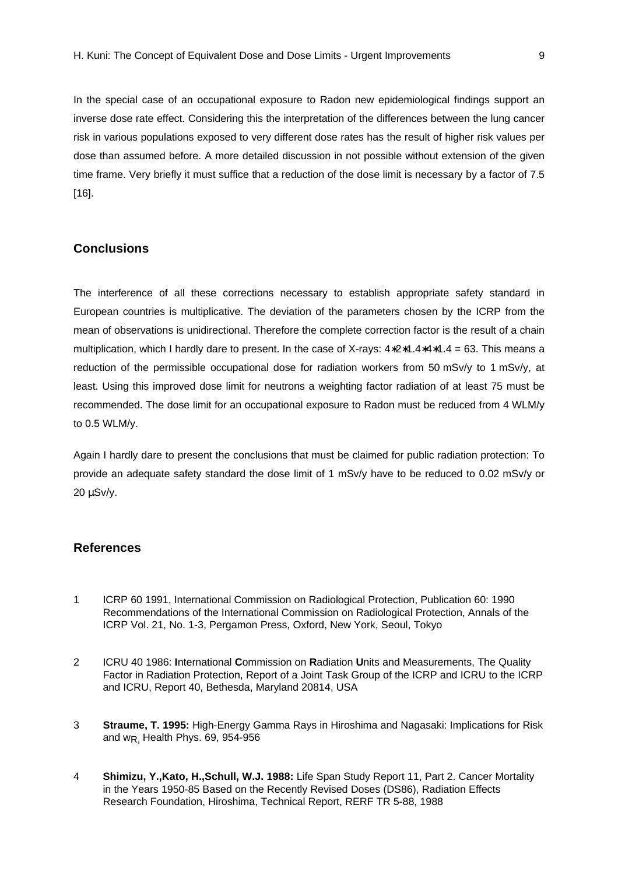In the special case of an occupational exposure to Radon new epidemiological findings support an inverse dose rate effect. Considering this the interpretation of the differences between the lung cancer risk in various populations exposed to very different dose rates has the result of higher risk values per dose than assumed before. A more detailed discussion in not possible without extension of the given time frame. Very briefly it must suffice that a reduction of the dose limit is necessary by a factor of 7.5 [16].

# **Conclusions**

The interference of all these corrections necessary to establish appropriate safety standard in European countries is multiplicative. The deviation of the parameters chosen by the ICRP from the mean of observations is unidirectional. Therefore the complete correction factor is the result of a chain multiplication, which I hardly dare to present. In the case of X-rays: 4∗2∗1.4∗4∗1.4 = 63. This means a reduction of the permissible occupational dose for radiation workers from 50 mSv/y to 1 mSv/y, at least. Using this improved dose limit for neutrons a weighting factor radiation of at least 75 must be recommended. The dose limit for an occupational exposure to Radon must be reduced from 4 WLM/y to 0.5 WLM/y.

Again I hardly dare to present the conclusions that must be claimed for public radiation protection: To provide an adequate safety standard the dose limit of 1 mSv/y have to be reduced to 0.02 mSv/y or 20 μSv/y.

#### **References**

- 1 ICRP 60 1991, International Commission on Radiological Protection, Publication 60: 1990 Recommendations of the International Commission on Radiological Protection, Annals of the ICRP Vol. 21, No. 1-3, Pergamon Press, Oxford, New York, Seoul, Tokyo
- 2 ICRU 40 1986: **I**nternational **C**ommission on **R**adiation **U**nits and Measurements, The Quality Factor in Radiation Protection, Report of a Joint Task Group of the ICRP and ICRU to the ICRP and ICRU, Report 40, Bethesda, Maryland 20814, USA
- 3 **Straume, T. 1995:** High-Energy Gamma Rays in Hiroshima and Nagasaki: Implications for Risk and wR, Health Phys. 69, 954-956
- 4 **Shimizu, Y.,Kato, H.,Schull, W.J. 1988:** Life Span Study Report 11, Part 2. Cancer Mortality in the Years 1950-85 Based on the Recently Revised Doses (DS86), Radiation Effects Research Foundation, Hiroshima, Technical Report, RERF TR 5-88, 1988